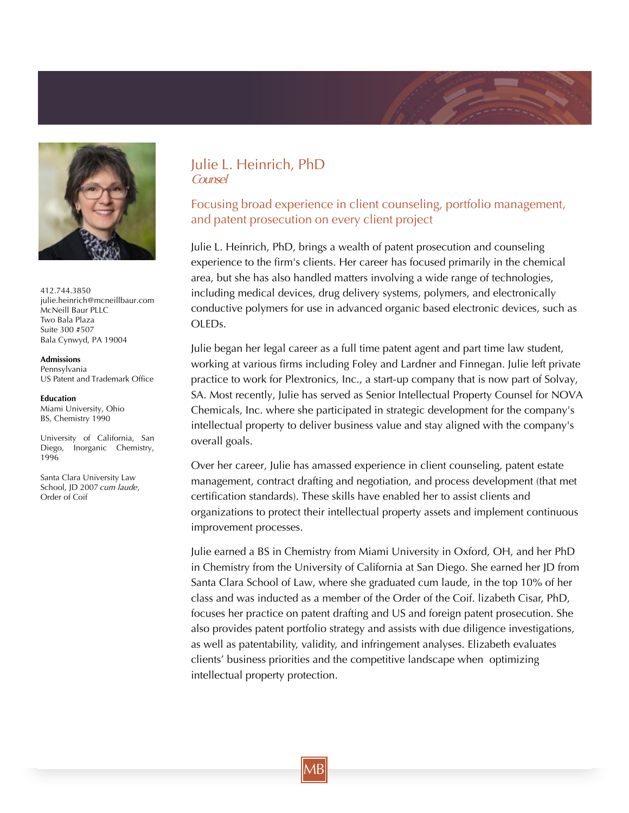

412.744.3850 julie.heinrich@mcneillbaur.com McNeill Baur PLLC Two Bala Plaza Suite 300 #507 Bala Cynwyd, PA 19004

**Admissions** Pennsylvania US Patent and Trademark Office

## **Education**

Miami University, Ohio BS, Chemistry 1990

University of California, San Diego, Inorganic Chemistry, 1996

Santa Clara University Law School, JD 2007 cum laude, Order of Coif

## Julie L. Heinrich, PhD Counsel

## Focusing broad experience in client counseling, portfolio management, and patent prosecution on every client project

Julie L. Heinrich, PhD, brings a wealth of patent prosecution and counseling experience to the firm's clients. Her career has focused primarily in the chemical area, but she has also handled matters involving a wide range of technologies, including medical devices, drug delivery systems, polymers, and electronically conductive polymers for use in advanced organic based electronic devices, such as OLEDs.

Julie began her legal career as a full time patent agent and part time law student, working at various firms including Foley and Lardner and Finnegan. Julie left private practice to work for Plextronics, Inc., a start-up company that is now part of Solvay, SA. Most recently, Julie has served as Senior Intellectual Property Counsel for NOVA Chemicals, Inc. where she participated in strategic development for the company's intellectual property to deliver business value and stay aligned with the company's overall goals.

Over her career, Julie has amassed experience in client counseling, patent estate management, contract drafting and negotiation, and process development (that met certification standards). These skills have enabled her to assist clients and organizations to protect their intellectual property assets and implement continuous improvement processes.

Julie earned a BS in Chemistry from Miami University in Oxford, OH, and her PhD in Chemistry from the University of California at San Diego. She earned her JD from Santa Clara School of Law, where she graduated cum laude, in the top 10% of her class and was inducted as a member of the Order of the Coif. lizabeth Cisar, PhD, focuses her practice on patent drafting and US and foreign patent prosecution. She also provides patent portfolio strategy and assists with due diligence investigations, as well as patentability, validity, and infringement analyses. Elizabeth evaluates clients' business priorities and the competitive landscape when optimizing intellectual property protection.